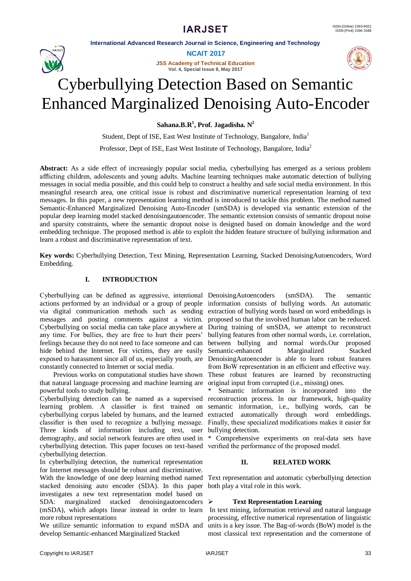

**NCAIT 2017**

**JSS Academy of Technical Education Vol. 4, Special Issue 8, May 2017**



# Cyberbullying Detection Based on Semantic Enhanced Marginalized Denoising Auto-Encoder

**Sahana.B.R<sup>1</sup> , Prof. Jagadisha. N<sup>2</sup>**

Student, Dept of ISE, East West Institute of Technology, Bangalore, India<sup>1</sup>

Professor, Dept of ISE, East West Institute of Technology, Bangalore, India<sup>2</sup>

**Abstract:** As a side effect of increasingly popular social media, cyberbullying has emerged as a serious problem afflicting children, adolescents and young adults. Machine learning techniques make automatic detection of bullying messages in social media possible, and this could help to construct a healthy and safe social media environment. In this meaningful research area, one critical issue is robust and discriminative numerical representation learning of text messages. In this paper, a new representation learning method is introduced to tackle this problem. The method named Semantic-Enhanced Marginalized Denoising Auto-Encoder (smSDA) is developed via semantic extension of the popular deep learning model stacked denoisingautoencoder. The semantic extension consists of semantic dropout noise and sparsity constraints, where the semantic dropout noise is designed based on domain knowledge and the word embedding technique. The proposed method is able to exploit the hidden feature structure of bullying information and learn a robust and discriminative representation of text.

**Key words:** Cyberbullying Detection, Text Mining, Representation Learning, Stacked DenoisingAutoencoders, Word Embedding.

# **I. INTRODUCTION**

Cyberbullying can be defined as aggressive, intentional DenoisingAutoencoders (smSDA). The semantic actions performed by an individual or a group of people information consists of bullying words. An automatic via digital communication methods such as sending extraction of bullying words based on word embeddings is messages and posting comments against a victim. proposed so that the involved human labor can be reduced. Cyberbullying on social media can take place anywhere at During training of smSDA, we attempt to reconstruct any time. For bullies, they are free to hurt their peers' feelings because they do not need to face someone and can between bullying and normal words.Our proposed hide behind the Internet. For victims, they are easily Semantic-enhanced Marginalized Stacked exposed to harassment since all of us, especially youth, are DenoisingAutoencoder is able to learn robust features constantly connected to Internet or social media.

 Previous works on computational studies have shown that natural language processing and machine learning are powerful tools to study bullying.

Cyberbullying detection can be named as a supervised reconstruction process. In our framework, high-quality learning problem. A classifier is first trained on cyberbullying corpus labeled by humans, and the learned classifier is then used to recognize a bullying message. Three kinds of information including text, user demography, and social network features are often used in cyberbullying detection. This paper focuses on text-based verified the performance of the proposed model. cyberbullying detection.

In cyberbullying detection, the numerical representation for Internet messages should be robust and discriminative. With the knowledge of one deep learning method named stacked denoising auto encoder (SDA). In this paper investigates a new text representation model based on  $SDA:$  marginalized stacked denoisingautoencoders  $\triangleright$ (mSDA), which adopts linear instead in order to learn more robust representations

We utilize semantic information to expand mSDA and develop Semantic-enhanced Marginalized Stacked

bullying features from other normal words, i.e. correlation, from BoW representation in an efficient and effective way. These robust features are learned by reconstructing original input from corrupted (i.e., missing) ones.

Semantic information is incorporated into the semantic information, i.e., bullying words, can be extracted automatically through word embeddings. Finally, these specialized modifications makes it easier for bullying detection.

\* Comprehensive experiments on real-data sets have

# **II. RELATED WORK**

Text representation and automatic cyberbullying detection both play a vital role in this work.

# **Text Representation Learning**

In text mining, information retrieval and natural language processing, effective numerical representation of linguistic units is a key issue. The Bag-of-words (BoW) model is the most classical text representation and the cornerstone of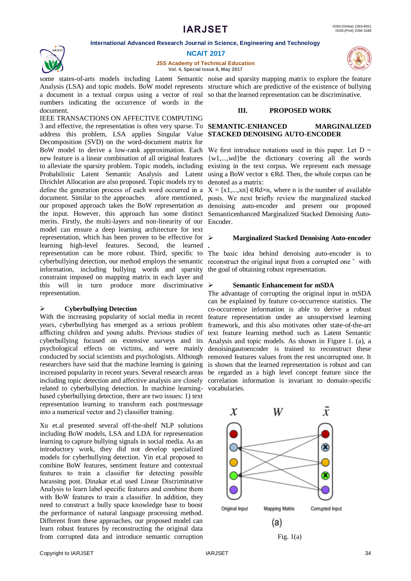

**JSS Academy of Technical Education**

**.**

**Vol. 4, Special Issue 8, May 2017**

Analysis (LSA) and topic models. BoW model represents structure which are predictive of the existence of bullying a document in a textual corpus using a vector of real so that the learned representation can be discriminative. numbers indicating the occurrence of words in the document.

IEEE TRANSACTIONS ON AFFECTIVE COMPUTING 3 and effective, the representation is often very sparse. To **SEMANTIC-ENHANCED MARGINALIZED**  address this problem, LSA applies Singular Value **STACKED DENOISING AUTO-ENCODER** Decomposition (SVD) on the word-document matrix for BoW model to derive a low-rank approximation. Each We first introduce notations used in this paper. Let  $D =$ new feature is a linear combination of all original features to alleviate the sparsity problem. Topic models, including Probabilistic Latent Semantic Analysis and Latent Dirichlet Allocation are also proposed. Topic models try to define the generation process of each word occurred in a document. Similar to the approaches afore mentioned, our proposed approach takes the BoW representation as the input. However, this approach has some distinct merits. Firstly, the multi-layers and non-linearity of our Encoder. model can ensure a deep learning architecture for text representation, which has been proven to be effective for  $\triangleright$ learning high-level features. Second, the learned representation can be more robust. Third, specific to cyberbullying detection, our method employs the semantic reconstruct the original input from a corrupted one  $\tilde{ }$  with information, including bullying words and sparsity constraint imposed on mapping matrix in each layer and this will in turn produce more discriminative  $\triangleright$ representation.

#### **Cyberbullying Detection**

With the increasing popularity of social media in recent years, cyberbullying has emerged as a serious problem afflicting children and young adults. Previous studies of cyberbullying focused on extensive surveys and its Analysis and topic models. As shown in Figure 1. (a), a psychological effects on victims, and were mainly denoisingautoencoder is trained to reconstruct these conducted by social scientists and psychologists. Although removed features values from the rest uncorrupted one. It researchers have said that the machine learning is gaining is shown that the learned representation is robust and can increased popularity in recent years. Several research areas be regarded as a high level concept feature since the including topic detection and affective analysis are closely correlation information is invariant to domain-specific related to cyberbullying detection. In machine learning-vocabularies. based cyberbullying detection, there are two issues: 1) text representation learning to transform each post/message into a numerical vector and 2) classifier training.

Xu et.al presented several off-the-shelf NLP solutions including BoW models, LSA and LDA for representation learning to capture bullying signals in social media. As an introductory work, they did not develop specialized models for cyberbullying detection. Yin et.al proposed to combine BoW features, sentiment feature and contextual features to train a classifier for detecting possible harassing post. Dinakar et.al used Linear Discriminative Analysis to learn label specific features and combine them with BoW features to train a classifier. In addition, they need to construct a bully space knowledge base to boost the performance of natural language processing method. Different from these approaches, our proposed model can learn robust features by reconstructing the original data from corrupted data and introduce semantic corruption

some states-of-arts models including Latent Semantic noise and sparsity mapping matrix to explore the feature

### **III. PROPOSED WORK**

{w1,...,wd}be the dictionary covering all the words existing in the text corpus. We represent each message using a BoW vector  $x \in Rd$ . Then, the whole corpus can be denoted as a matrix:

 $X = [x1,...,xn] \in Rdx$ n, where n is the number of available posts. We next briefly review the marginalized stacked denoising auto-encoder and present our proposed Semanticenhanced Marginalized Stacked Denoising Auto-

#### **Marginalized Stacked Denoising Auto-encoder**

The basic idea behind denoising auto-encoder is to the goal of obtaining robust representation.

#### **Semantic Enhancement for mSDA**

The advantage of corrupting the original input in mSDA can be explained by feature co-occurrence statistics. The co-occurrence information is able to derive a robust feature representation under an unsupervised learning framework, and this also motivates other state-of-the-art text feature learning method such as Latent Semantic



Fig.  $1(a)$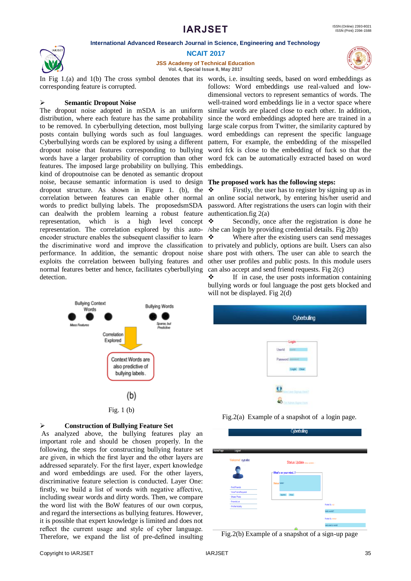

**NCAIT 2017**

**JSS Academy of Technical Education Vol. 4, Special Issue 8, May 2017**

In Fig 1.(a) and 1(b) The cross symbol denotes that its words, i.e. insulting seeds, based on word embeddings as corresponding feature is corrupted.

#### **Semantic Dropout Noise**

The dropout noise adopted in mSDA is an uniform distribution, where each feature has the same probability to be removed. In cyberbullying detection, most bullying posts contain bullying words such as foul languages. Cyberbullying words can be explored by using a different pattern, For example, the embedding of the misspelled dropout noise that features corresponding to bullying words have a larger probability of corruption than other features. The imposed large probability on bullying. This kind of dropoutnoise can be denoted as semantic dropout noise, because semantic information is used to design dropout structure. As shown in Figure 1. (b), the correlation between features can enable other normal words to predict bullying labels. The proposedsmSDA can dealwith the problem learning a robust feature representation, which is a high level concept  $\mathbf{\hat{P}}$ representation. The correlation explored by this autoencoder structure enables the subsequent classifier to learn performance. In addition, the semantic dropout noise exploits the correlation between bullying features and normal features better and hence, facilitates cyberbullying can also accept and send friend requests. Fig 2(c) detection.





As analyzed above, the bullying features play an important role and should be chosen properly. In the following, the steps for constructing bullying feature set are given, in which the first layer and the other layers are addressed separately. For the first layer, expert knowledge and word embeddings are used. For the other layers, discriminative feature selection is conducted. Layer One: firstly, we build a list of words with negative affective, including swear words and dirty words. Then, we compare the word list with the BoW features of our own corpus, and regard the intersections as bullying features. However, it is possible that expert knowledge is limited and does not reflect the current usage and style of cyber language. Therefore, we expand the list of pre-defined insulting

follows: Word embeddings use real-valued and lowdimensional vectors to represent semantics of words. The well-trained word embeddings lie in a vector space where similar words are placed close to each other. In addition, since the word embeddings adopted here are trained in a large scale corpus from Twitter, the similarity captured by word embeddings can represent the specific language word fck is close to the embedding of fuck so that the word fck can be automatically extracted based on word embeddings.

#### **The proposed work has the following steps:**

 $\div$  Firstly, the user has to register by signing up as in an online social network, by entering his/her userid and password. After registrations the users can login with their authentication.fig 2(a)

 Secondly, once after the registration is done he /she can login by providing credential details. Fig 2(b)

the discriminative word and improve the classification to privately and publicly, options are built. Users can also Where after the existing users can send messages share post with others. The user can able to search the other user profiles and public posts. In this module users

> If in case, the user posts information containing bullying words or foul language the post gets blocked and will not be displayed. Fig 2(d)

| <b>Cyberbulling</b>                                                                                                        |  |
|----------------------------------------------------------------------------------------------------------------------------|--|
| $-$ Login<br><b>Contractor</b><br>Userld<br>Password <b>Illinois</b><br><b>Confession State Street, Inc.</b><br>Logic Cost |  |
| <b>Continued Some Head</b><br>For Asher, Signic Here                                                                       |  |

Fig.2(a) Example of a snapshot of a login page.

|                                                       | Cyberbulling |                      |                          |                                       |  |
|-------------------------------------------------------|--------------|----------------------|--------------------------|---------------------------------------|--|
| HomePage<br>Logout                                    |              |                      |                          |                                       |  |
| Welcome! xyz abc                                      |              |                      | Status Update management |                                       |  |
|                                                       |              |                      | -What's on your mind!!-  |                                       |  |
| - Find Friends                                        |              | <b>Status</b> heliot |                          |                                       |  |
| · ViewFriendRequest<br>- Share Photo<br>- FriendsList |              |                      | Update Clear             |                                       |  |
| - Profile Modify                                      |              |                      |                          | Posted By vyz<br><b>Nello vontiff</b> |  |
|                                                       |              |                      |                          | Posted By shekar                      |  |
|                                                       |              |                      | $\sim$                   | welcome to world                      |  |

Fig.2(b) Example of a snapshot of a sign-up page